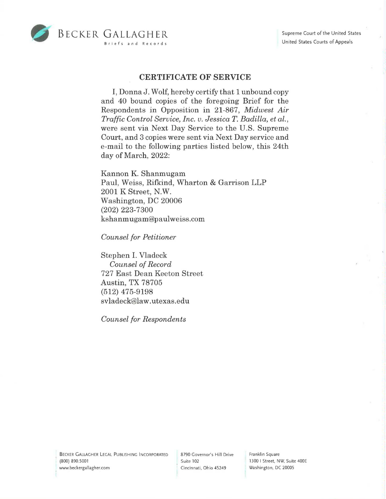

## **CERTIFICATE OF SERVICE**

I, DonnaJ. Wolf, hereby certify that 1 unbound copy and 40 bound copies of the foregoing Brief for the Respondents in Opposition in 21-867, *Midwest Air Traffic Control Service, Inc. v. Jessica T. Badilla, et al.,*  were sent via Next Day Service to the U.S. Supreme Court, and 3 copies were sent via Next Day service and e-mail to the following parties listed below, this 24th day of March, 2022:

Kannon K. Shanmugam Paul, Weiss, Rifkind, Wharton & Garrison LLP 2001 K Street, N.W. Washington, DC 20006 (202) 223-7300 kshanmugam@paulweiss.com

*Counsel for Petitioner* 

Stephen I. Vladeck *Counsel of Record*  727 East Dean Keeton Street Austin, TX 78705 (512) 475-9198 svladeck@law.utexas.edu

*Counsel for Respondents* 

BECKER GALLAGHER LEGAL PUBLISHING INCORPORATED (800) 890.5001 www.beckergallagher.com

8790 Governor's Hill Drive Suite 102 Cincinnati, Ohio 45249

Franklin Square 1300 I Street, NW, Suite 400E Washington, DC 20005